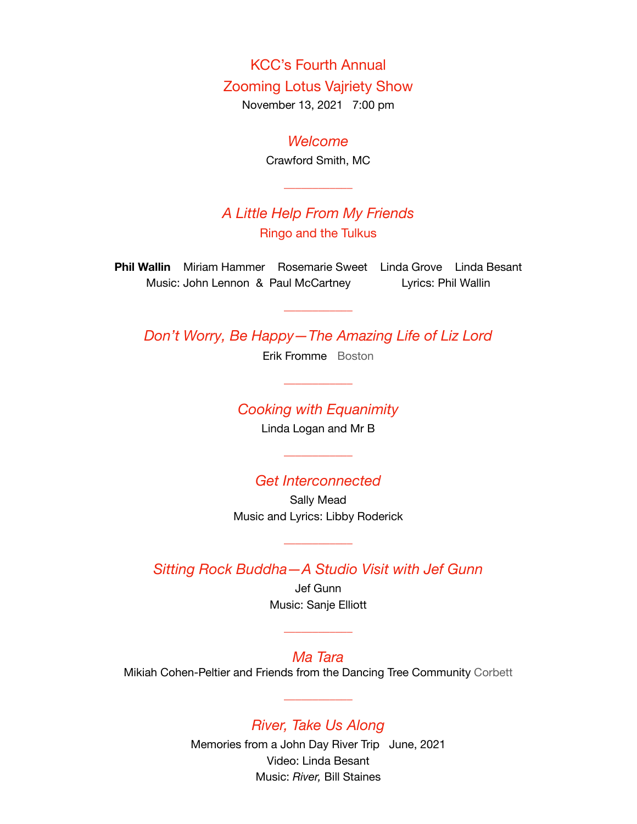KCC's Fourth Annual Zooming Lotus Vajriety Show

November 13, 2021 7:00 pm

### *Welcome*

Crawford Smith, MC

\_\_\_\_\_\_\_\_\_\_\_\_

## *A Little Help From My Friends* Ringo and the Tulkus

**Phil Wallin** Miriam Hammer Rosemarie Sweet Linda Grove Linda Besant Music: John Lennon & Paul McCartney Lyrics: Phil Wallin

*Don't Worry, Be Happy—The Amazing Life of Liz Lord*

\_\_\_\_\_\_\_\_\_\_\_\_

Erik Fromme Boston

### *Cooking with Equanimity*

\_\_\_\_\_\_\_\_\_\_\_\_

Linda Logan and Mr B

\_\_\_\_\_\_\_\_\_\_\_\_

### *Get Interconnected*

Sally Mead Music and Lyrics: Libby Roderick

*Sitting Rock Buddha—A Studio Visit with Jef Gunn*

\_\_\_\_\_\_\_\_\_\_\_\_

Jef Gunn Music: Sanje Elliott

\_\_\_\_\_\_\_\_\_\_\_\_

*Ma Tara* Mikiah Cohen-Peltier and Friends from the Dancing Tree Community Corbett

\_\_\_\_\_\_\_\_\_\_\_\_

## *River, Take Us Along*

Memories from a John Day River Trip June, 2021 Video: Linda Besant Music: *River,* Bill Staines